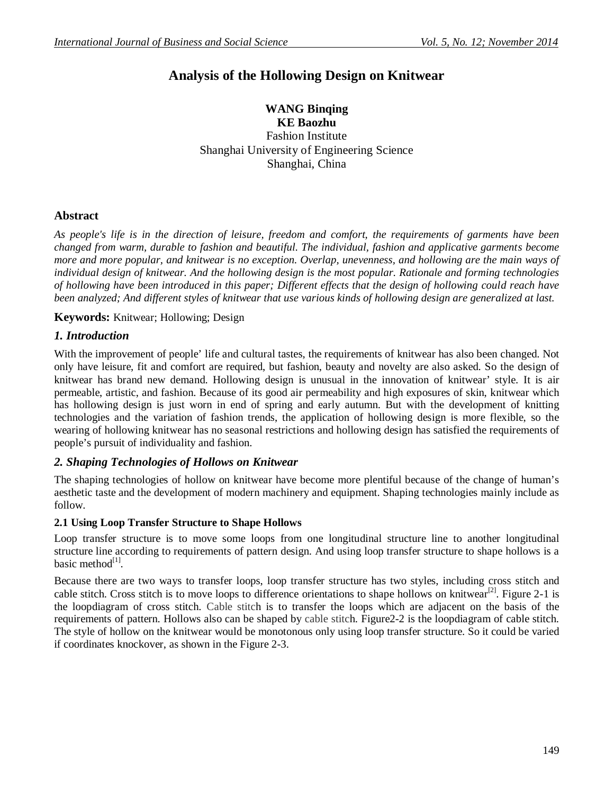# **Analysis of the Hollowing Design on Knitwear**

**WANG Binqing KE Baozhu** Fashion Institute Shanghai University of Engineering Science Shanghai, China

# **Abstract**

*As people's life is in the direction of leisure, freedom and comfort, the requirements of garments have been changed from warm, durable to fashion and beautiful. The individual, fashion and applicative garments become more and more popular, and knitwear is no exception. Overlap, unevenness, and hollowing are the main ways of individual design of knitwear. And the hollowing design is the most popular. Rationale and forming technologies of hollowing have been introduced in this paper; Different effects that the design of hollowing could reach have been analyzed; And different styles of knitwear that use various kinds of hollowing design are generalized at last.*

**Keywords:** Knitwear; Hollowing; Design

# *1. Introduction*

With the improvement of people' life and cultural tastes, the requirements of knitwear has also been changed. Not only have leisure, fit and comfort are required, but fashion, beauty and novelty are also asked. So the design of knitwear has brand new demand. Hollowing design is unusual in the innovation of knitwear' style. It is air permeable, artistic, and fashion. Because of its good air permeability and high exposures of skin, knitwear which has hollowing design is just worn in end of spring and early autumn. But with the development of knitting technologies and the variation of fashion trends, the application of hollowing design is more flexible, so the wearing of hollowing knitwear has no seasonal restrictions and hollowing design has satisfied the requirements of people's pursuit of individuality and fashion.

# *2. Shaping Technologies of Hollows on Knitwear*

The shaping technologies of hollow on knitwear have become more plentiful because of the change of human's aesthetic taste and the development of modern machinery and equipment. Shaping technologies mainly include as follow.

## **2.1 Using Loop Transfer Structure to Shape Hollows**

Loop transfer structure is to move some loops from one longitudinal structure line to another longitudinal structure line according to requirements of pattern design. And using loop transfer structure to shape hollows is a basic method<sup>[1]</sup>.

Because there are two ways to transfer loops, loop transfer structure has two styles, including cross stitch and cable stitch. Cross stitch is to move loops to difference orientations to shape hollows on knitwear<sup>[2]</sup>. Figure 2-1 is the loopdiagram of cross stitch. Cable stitch is to transfer the loops which are adjacent on the basis of the requirements of pattern. Hollows also can be shaped by cable stitch. Figure2-2 is the loopdiagram of cable stitch. The style of hollow on the knitwear would be monotonous only using loop transfer structure. So it could be varied if coordinates knockover, as shown in the Figure 2-3.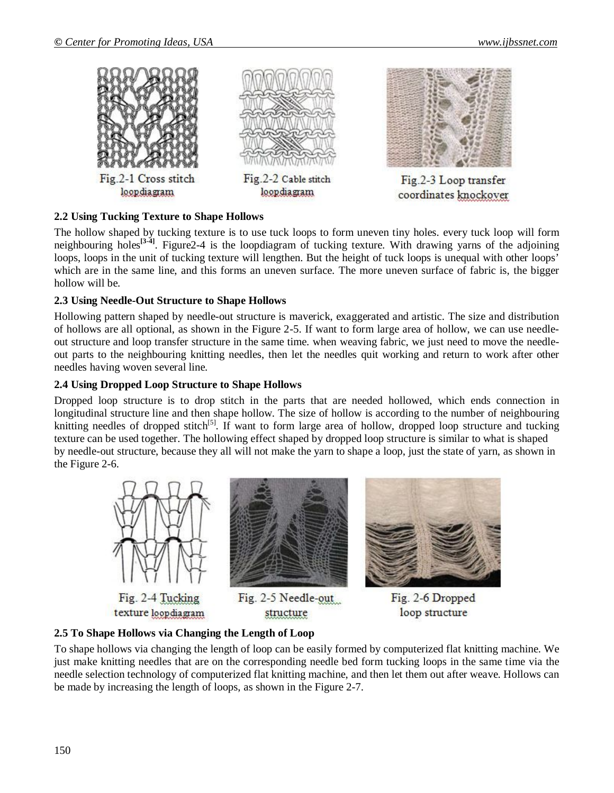

#### **2.2 Using Tucking Texture to Shape Hollows**

The hollow shaped by tucking texture is to use tuck loops to form uneven tiny holes. every tuck loop will form neighbouring holes**[3-4]** . Figure2-4 is the loopdiagram of tucking texture. With drawing yarns of the adjoining loops, loops in the unit of tucking texture will lengthen. But the height of tuck loops is unequal with other loops' which are in the same line, and this forms an uneven surface. The more uneven surface of fabric is, the bigger hollow will be.

#### **2.3 Using Needle-Out Structure to Shape Hollows**

Hollowing pattern shaped by needle-out structure is maverick, exaggerated and artistic. The size and distribution of hollows are all optional, as shown in the Figure 2-5. If want to form large area of hollow, we can use needleout structure and loop transfer structure in the same time. when weaving fabric, we just need to move the needleout parts to the neighbouring knitting needles, then let the needles quit working and return to work after other needles having woven several line.

#### **2.4 Using Dropped Loop Structure to Shape Hollows**

Dropped loop structure is to drop stitch in the parts that are needed hollowed, which ends connection in longitudinal structure line and then shape hollow. The size of hollow is according to the number of neighbouring knitting needles of dropped stitch<sup>[5]</sup>. If want to form large area of hollow, dropped loop structure and tucking texture can be used together. The hollowing effect shaped by dropped loop structure is similar to what is shaped by needle-out structure, because they all will not make the yarn to shape a loop, just the state of yarn, as shown in the Figure 2-6.



#### **2.5 To Shape Hollows via Changing the Length of Loop**

To shape hollows via changing the length of loop can be easily formed by computerized flat knitting machine. We just make knitting needles that are on the corresponding needle bed form tucking loops in the same time via the needle selection technology of computerized flat knitting machine, and then let them out after weave. Hollows can be made by increasing the length of loops, as shown in the Figure 2-7.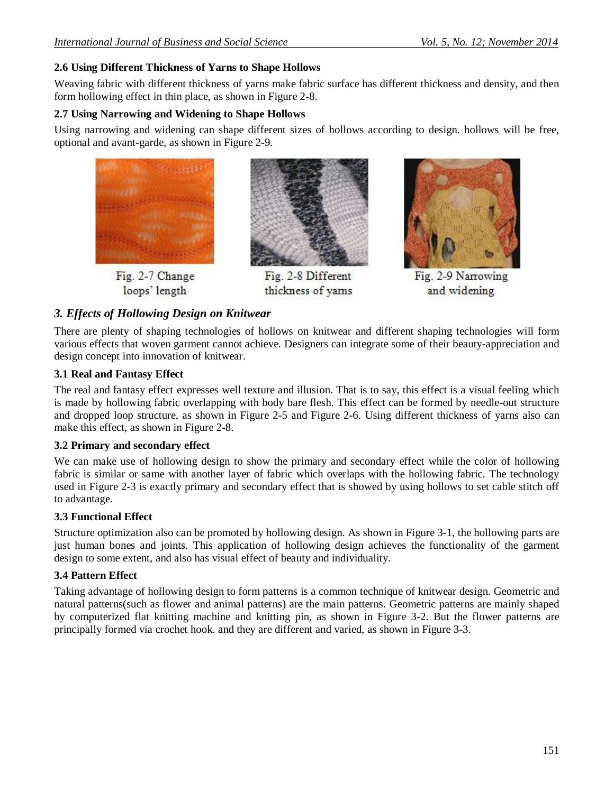## **2.6 Using Different Thickness of Yarns to Shape Hollows**

Weaving fabric with different thickness of yarns make fabric surface has different thickness and density, and then form hollowing effect in thin place, as shown in Figure 2-8.

## **2.7 Using Narrowing and Widening to Shape Hollows**

Using narrowing and widening can shape different sizes of hollows according to design. hollows will be free, optional and avant-garde, as shown in Figure 2-9.



loops' length



Fig. 2-8 Different thickness of yarns



Fig. 2-9 Narrowing and widening

## *3. Effects of Hollowing Design on Knitwear*

There are plenty of shaping technologies of hollows on knitwear and different shaping technologies will form various effects that woven garment cannot achieve. Designers can integrate some of their beauty-appreciation and design concept into innovation of knitwear.

## **3.1 Real and Fantasy Effect**

The real and fantasy effect expresses well texture and illusion. That is to say, this effect is a visual feeling which is made by hollowing fabric overlapping with body bare flesh. This effect can be formed by needle-out structure and dropped loop structure, as shown in Figure 2-5 and Figure 2-6. Using different thickness of yarns also can make this effect, as shown in Figure 2-8.

## **3.2 Primary and secondary effect**

We can make use of hollowing design to show the primary and secondary effect while the color of hollowing fabric is similar or same with another layer of fabric which overlaps with the hollowing fabric. The technology used in Figure 2-3 is exactly primary and secondary effect that is showed by using hollows to set cable stitch off to advantage.

## **3.3 Functional Effect**

Structure optimization also can be promoted by hollowing design. As shown in Figure 3-1, the hollowing parts are just human bones and joints. This application of hollowing design achieves the functionality of the garment design to some extent, and also has visual effect of beauty and individuality.

## **3.4 Pattern Effect**

Taking advantage of hollowing design to form patterns is a common technique of knitwear design. Geometric and natural patterns(such as flower and animal patterns) are the main patterns. Geometric patterns are mainly shaped by computerized flat knitting machine and knitting pin, as shown in Figure 3-2. But the flower patterns are principally formed via crochet hook. and they are different and varied, as shown in Figure 3-3.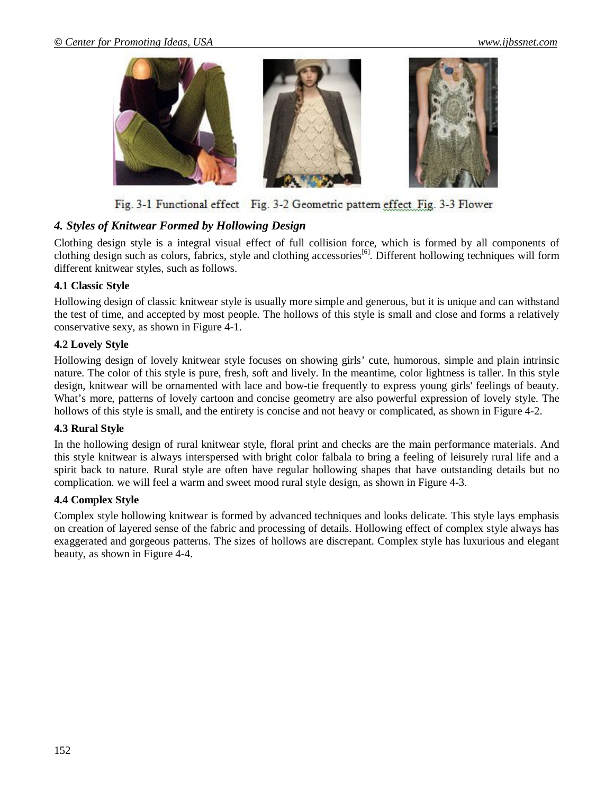

Fig. 3-1 Functional effect Fig. 3-2 Geometric pattern effect Fig. 3-3 Flower

# *4. Styles of Knitwear Formed by Hollowing Design*

Clothing design style is a integral visual effect of full collision force, which is formed by all components of clothing design such as colors, fabrics, style and clothing accessories<sup>[6]</sup>. Different hollowing techniques will form different knitwear styles, such as follows.

#### **4.1 Classic Style**

Hollowing design of classic knitwear style is usually more simple and generous, but it is unique and can withstand the test of time, and accepted by most people. The hollows of this style is small and close and forms a relatively conservative sexy, as shown in Figure 4-1.

#### **4.2 Lovely Style**

Hollowing design of lovely knitwear style focuses on showing girls' cute, humorous, simple and plain intrinsic nature. The color of this style is pure, fresh, soft and lively. In the meantime, color lightness is taller. In this style design, knitwear will be ornamented with lace and bow-tie frequently to express young girls' feelings of beauty. What's more, patterns of lovely cartoon and concise geometry are also powerful expression of lovely style. The hollows of this style is small, and the entirety is concise and not heavy or complicated, as shown in Figure 4-2.

#### **4.3 Rural Style**

In the hollowing design of rural knitwear style, floral print and checks are the main performance materials. And this style knitwear is always interspersed with bright color falbala to bring a feeling of leisurely rural life and a spirit back to nature. Rural style are often have regular hollowing shapes that have outstanding details but no complication. we will feel a warm and sweet mood rural style design, as shown in Figure 4-3.

#### **4.4 Complex Style**

Complex style hollowing knitwear is formed by advanced techniques and looks delicate. This style lays emphasis on creation of layered sense of the fabric and processing of details. Hollowing effect of complex style always has exaggerated and gorgeous patterns. The sizes of hollows are discrepant. Complex style has luxurious and elegant beauty, as shown in Figure 4-4.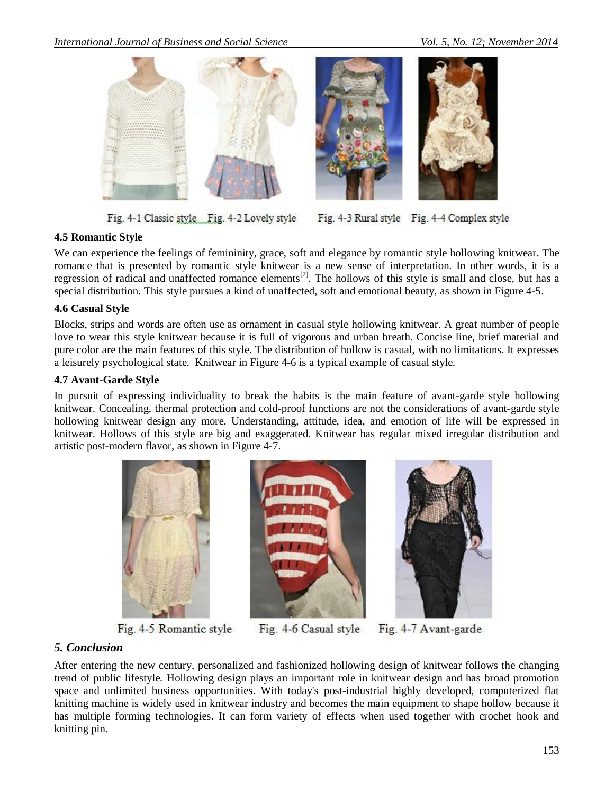*International Journal of Business and Social Science Vol. 5, No. 12; November 2014*



Fig. 4-1 Classic style Fig. 4-2 Lovely style



Fig. 4-3 Rural style Fig. 4-4 Complex style

## **4.5 Romantic Style**

We can experience the feelings of femininity, grace, soft and elegance by romantic style hollowing knitwear. The romance that is presented by romantic style knitwear is a new sense of interpretation. In other words, it is a regression of radical and unaffected romance elements<sup>[7]</sup>. The hollows of this style is small and close, but has a special distribution. This style pursues a kind of unaffected, soft and emotional beauty, as shown in Figure 4-5.

#### **4.6 Casual Style**

Blocks, strips and words are often use as ornament in casual style hollowing knitwear. A great number of people love to wear this style knitwear because it is full of vigorous and urban breath. Concise line, brief material and pure color are the main features of this style. The distribution of hollow is casual, with no limitations. It expresses a leisurely psychological state. Knitwear in Figure 4-6 is a typical example of casual style.

#### **4.7 Avant-Garde Style**

In pursuit of expressing individuality to break the habits is the main feature of avant-garde style hollowing knitwear. Concealing, thermal protection and cold-proof functions are not the considerations of avant-garde style hollowing knitwear design any more. Understanding, attitude, idea, and emotion of life will be expressed in knitwear. Hollows of this style are big and exaggerated. Knitwear has regular mixed irregular distribution and artistic post-modern flavor, as shown in Figure 4-7.



Fig. 4-5 Romantic style





Fig. 4-6 Casual style Fig. 4-7 Avant-garde

## *5. Conclusion*

After entering the new century, personalized and fashionized hollowing design of knitwear follows the changing trend of public lifestyle. Hollowing design plays an important role in knitwear design and has broad promotion space and unlimited business opportunities. With today's post-industrial highly developed, computerized flat knitting machine is widely used in knitwear industry and becomes the main equipment to shape hollow because it has multiple forming technologies. It can form variety of effects when used together with crochet hook and knitting pin.